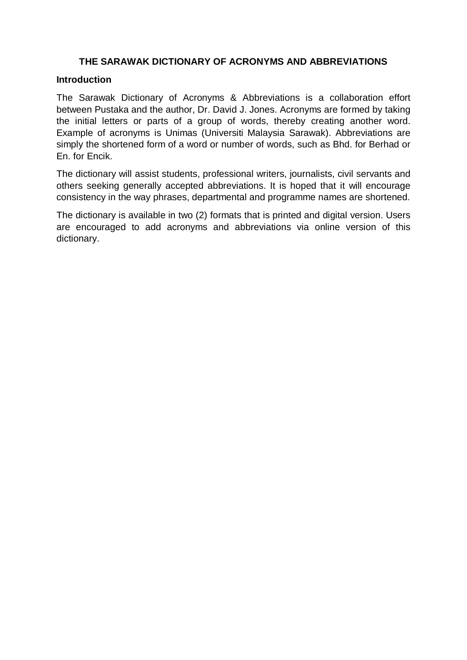## **THE SARAWAK DICTIONARY OF ACRONYMS AND ABBREVIATIONS**

## **Introduction**

The Sarawak Dictionary of Acronyms & Abbreviations is a collaboration effort between Pustaka and the author, Dr. David J. Jones. Acronyms are formed by taking the initial letters or parts of a group of words, thereby creating another word. Example of acronyms is Unimas (Universiti Malaysia Sarawak). Abbreviations are simply the shortened form of a word or number of words, such as Bhd. for Berhad or En. for Encik.

The dictionary will assist students, professional writers, journalists, civil servants and others seeking generally accepted abbreviations. It is hoped that it will encourage consistency in the way phrases, departmental and programme names are shortened.

The dictionary is available in two (2) formats that is printed and digital version. Users are encouraged to add acronyms and abbreviations via online version of this dictionary.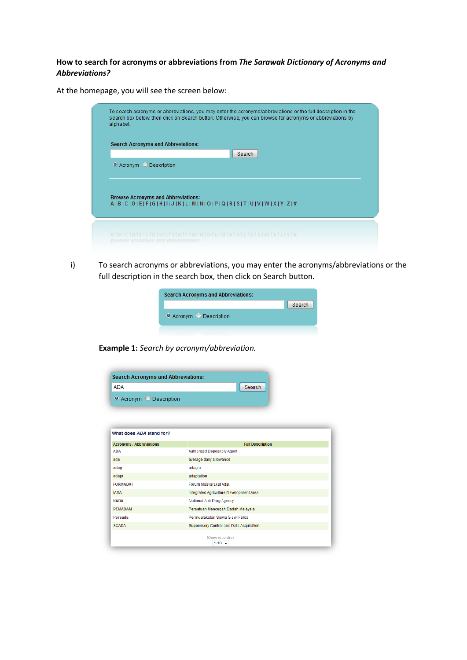## **How to search for acronyms or abbreviations from** *The Sarawak Dictionary of Acronyms and Abbreviations?*

At the homepage, you will see the screen below:

i) To search acronyms or abbreviations, you may enter the acronyms/abbreviations or the full description in the search box, then click on Search button.

|                         | <b>Search</b> |
|-------------------------|---------------|
| O Acronym O Description |               |

**Example 1:** *Search by acronym/abbreviation.*

| <b>Search Acronyms and Abbreviations:</b> |                                          |  |
|-------------------------------------------|------------------------------------------|--|
| <b>ADA</b>                                | Search                                   |  |
| ◎ Acronym ◎ Description                   |                                          |  |
|                                           |                                          |  |
|                                           |                                          |  |
| What does ADA stand for?                  |                                          |  |
| <b>Acronyms / Abbreviations</b>           | <b>Full Description</b>                  |  |
| <b>ADA</b>                                | <b>Authorized Depository Agent</b>       |  |
| ada                                       | average daily allowance                  |  |
| adag                                      | adagio                                   |  |
| adapt                                     | adaptation                               |  |
| <b>FORMADAT</b>                           | Forum Masvarakat Adat                    |  |
| <b>IADA</b>                               | Integrated Agriculture Development Area  |  |
| <b>NADA</b>                               | National Anti-Drug Agency                |  |
| <b>PEMADAM</b>                            | Persatuan Mencegah Dadah Malaysia        |  |
| Persada                                   | Permuafakatan Siswa Siswi Felda          |  |
| <b>SCADA</b>                              | Supervisory Control and Data Acquisition |  |
|                                           | Show record(s)<br>$1 - 10 = -$           |  |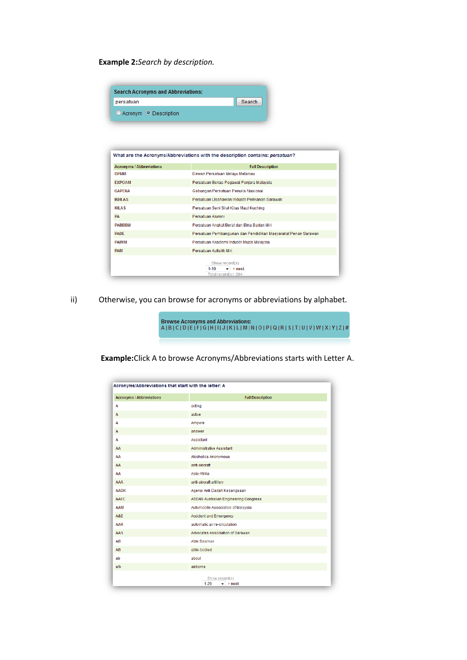**Example 2:***Search by description.*

| <b>Search Acronyms and Abbreviations:</b> |        |
|-------------------------------------------|--------|
| persatuan                                 | Search |
| Acronym O Description                     |        |

| <b>Acronyms / Abbreviations</b> | <b>Full Description</b>                                                  |
|---------------------------------|--------------------------------------------------------------------------|
| <b>DPMM</b>                     | Dewan Persatuan Melayu Melanau                                           |
| <b>EXPOAM</b>                   | Persatuan Bekas Pegawai Penjara Malaysia                                 |
| <b>GAPFNA</b>                   | Gabungan Persatuan Penulis Nasional                                      |
| <b>IKHIAS</b>                   | Persatuan Usahawan Industri Perikanan Sarawak                            |
| <b>KILAS</b>                    | Persatuan Seni Silat Kilas Maut Kuching                                  |
| <b>PA</b>                       | Persatuan Alumni                                                         |
| <b>PARRRM</b>                   | Persatuan Angkat Berat dan Bina Badan Miri                               |
| <b>PADE</b>                     | Persatuan Pembangunan dan Pendidikan Masyarakat Penan Sarawak            |
| <b>PAIMM</b>                    | Persatuan Akademi Industri Muzik Malaysia                                |
| <b>PAM</b>                      | Persatuan Autistik Miri                                                  |
|                                 | Show record(s)<br>$1 - 10$<br>$\rightarrow$ next<br>Total record(s): 204 |

ii) Otherwise, you can browse for acronyms or abbreviations by alphabet.

Browse Acronyms and Abbreviations:<br>A | B | C | D | E | F | G | H | I | J | K | L | M | N | O | P | Q | R | S | T | U | V | W | X | Y | Z | #

**Example:**Click A to browse Acronyms/Abbreviations starts with Letter A.

| <b>Acronyms / Abbreviations</b> | <b>Full Description</b>                      |
|---------------------------------|----------------------------------------------|
| $\overline{A}$                  | acting                                       |
| $\overline{A}$                  | active                                       |
| A                               | Ampere                                       |
| $\overline{A}$                  | answer                                       |
| A                               | Assistant                                    |
| AA                              | Administrative Assistant                     |
| AA                              | <b>Alcoholics Anonymous</b>                  |
| AA                              | anti-aircraft                                |
| AA                              | Asia-Afrika                                  |
| AAA                             | anti-aircraft artillery                      |
| <b>AADK</b>                     | Agensi Anti Dadah Kebangsaan                 |
| AAEC                            | <b>ASEAN Australian Engineering Congress</b> |
| AAM                             | Automobile Association of Malaysia           |
| A&E                             | <b>Accident and Emergency</b>                |
| <b>AAR</b>                      | automatic air re-circulation                 |
| <b>AAS</b>                      | Advocates Association of Sarawak             |
| AB                              | Able Seaman                                  |
| AB                              | able-bodied                                  |
| ab                              | about                                        |
| a/b                             | airborne                                     |